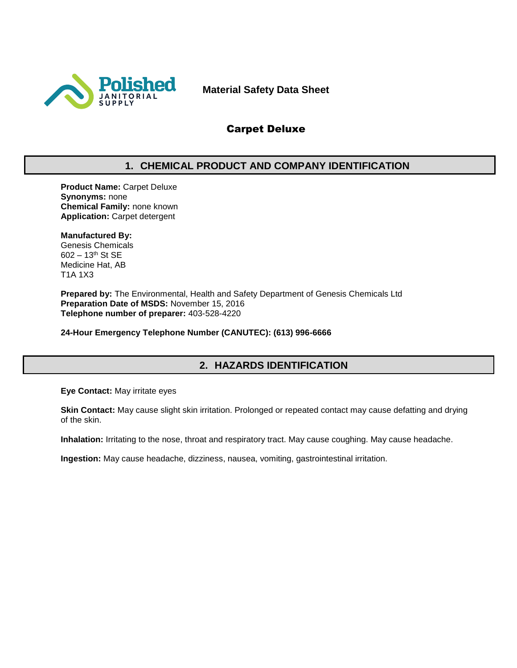

**Material Safety Data Sheet**

## Carpet Deluxe

## **1. CHEMICAL PRODUCT AND COMPANY IDENTIFICATION**

**Product Name:** Carpet Deluxe **Synonyms:** none **Chemical Family:** none known **Application:** Carpet detergent

#### **Manufactured By:**

Genesis Chemicals 602 – 13th St SE Medicine Hat, AB T1A 1X3

**Prepared by:** The Environmental, Health and Safety Department of Genesis Chemicals Ltd **Preparation Date of MSDS:** November 15, 2016 **Telephone number of preparer:** 403-528-4220

**24-Hour Emergency Telephone Number (CANUTEC): (613) 996-6666**

## **2. HAZARDS IDENTIFICATION**

**Eye Contact:** May irritate eyes

**Skin Contact:** May cause slight skin irritation. Prolonged or repeated contact may cause defatting and drying of the skin.

**Inhalation:** Irritating to the nose, throat and respiratory tract. May cause coughing. May cause headache.

**Ingestion:** May cause headache, dizziness, nausea, vomiting, gastrointestinal irritation.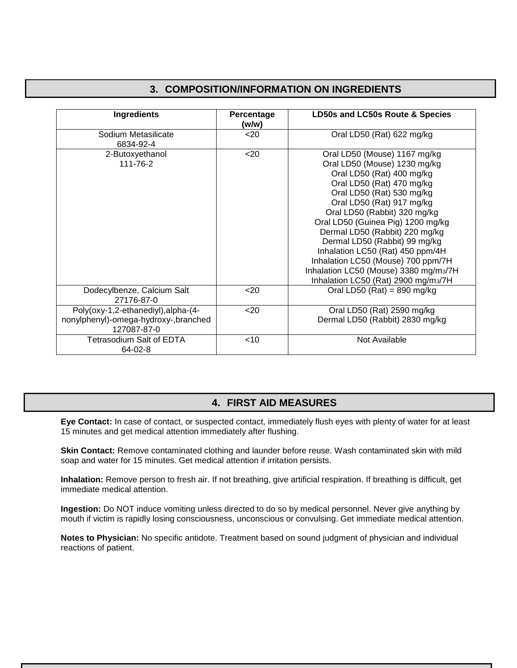## **3. COMPOSITION/INFORMATION ON INGREDIENTS**

| <b>Ingredients</b>                                                                         | Percentage<br>(w/w) | LD50s and LC50s Route & Species                                                                                                                                                                                                                                                                                                                                                                                                                                                    |
|--------------------------------------------------------------------------------------------|---------------------|------------------------------------------------------------------------------------------------------------------------------------------------------------------------------------------------------------------------------------------------------------------------------------------------------------------------------------------------------------------------------------------------------------------------------------------------------------------------------------|
| Sodium Metasilicate<br>6834-92-4                                                           | $20$                | Oral LD50 (Rat) 622 mg/kg                                                                                                                                                                                                                                                                                                                                                                                                                                                          |
| 2-Butoxyethanol<br>111-76-2                                                                | $20$                | Oral LD50 (Mouse) 1167 mg/kg<br>Oral LD50 (Mouse) 1230 mg/kg<br>Oral LD50 (Rat) 400 mg/kg<br>Oral LD50 (Rat) 470 mg/kg<br>Oral LD50 (Rat) 530 mg/kg<br>Oral LD50 (Rat) 917 mg/kg<br>Oral LD50 (Rabbit) 320 mg/kg<br>Oral LD50 (Guinea Pig) 1200 mg/kg<br>Dermal LD50 (Rabbit) 220 mg/kg<br>Dermal LD50 (Rabbit) 99 mg/kg<br>Inhalation LC50 (Rat) 450 ppm/4H<br>Inhalation LC50 (Mouse) 700 ppm/7H<br>Inhalation LC50 (Mouse) 3380 mg/m3/7H<br>Inhalation LC50 (Rat) 2900 mg/m3/7H |
| Dodecylbenze, Calcium Salt<br>27176-87-0                                                   | $20$                | Oral LD50 (Rat) = $890$ mg/kg                                                                                                                                                                                                                                                                                                                                                                                                                                                      |
| Poly(oxy-1,2-ethanediyl), alpha-(4-<br>nonylphenyl)-omega-hydroxy-,branched<br>127087-87-0 | $20$                | Oral LD50 (Rat) 2590 mg/kg<br>Dermal LD50 (Rabbit) 2830 mg/kg                                                                                                                                                                                                                                                                                                                                                                                                                      |
| Tetrasodium Salt of EDTA<br>64-02-8                                                        | $<$ 10              | Not Available                                                                                                                                                                                                                                                                                                                                                                                                                                                                      |

## **4. FIRST AID MEASURES**

**Eye Contact:** In case of contact, or suspected contact, immediately flush eyes with plenty of water for at least 15 minutes and get medical attention immediately after flushing.

**Skin Contact:** Remove contaminated clothing and launder before reuse. Wash contaminated skin with mild soap and water for 15 minutes. Get medical attention if irritation persists.

**Inhalation:** Remove person to fresh air. If not breathing, give artificial respiration. If breathing is difficult, get immediate medical attention.

**Ingestion:** Do NOT induce vomiting unless directed to do so by medical personnel. Never give anything by mouth if victim is rapidly losing consciousness, unconscious or convulsing. Get immediate medical attention.

**Notes to Physician:** No specific antidote. Treatment based on sound judgment of physician and individual reactions of patient.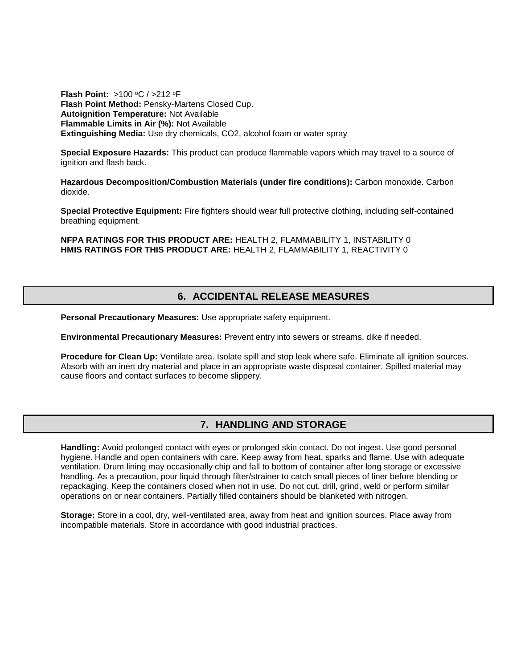**Flash Point: >100 °C / >212 °F Flash Point Method:** Pensky-Martens Closed Cup. **Autoignition Temperature:** Not Available **Flammable Limits in Air (%):** Not Available **Extinguishing Media:** Use dry chemicals, CO2, alcohol foam or water spray

**Special Exposure Hazards:** This product can produce flammable vapors which may travel to a source of ignition and flash back.

**Hazardous Decomposition/Combustion Materials (under fire conditions):** Carbon monoxide. Carbon dioxide.

**Special Protective Equipment:** Fire fighters should wear full protective clothing, including self-contained breathing equipment.

**NFPA RATINGS FOR THIS PRODUCT ARE:** HEALTH 2, FLAMMABILITY 1, INSTABILITY 0 **HMIS RATINGS FOR THIS PRODUCT ARE:** HEALTH 2, FLAMMABILITY 1, REACTIVITY 0

### **6. ACCIDENTAL RELEASE MEASURES**

**Personal Precautionary Measures:** Use appropriate safety equipment.

**Environmental Precautionary Measures:** Prevent entry into sewers or streams, dike if needed.

**Procedure for Clean Up:** Ventilate area. Isolate spill and stop leak where safe. Eliminate all ignition sources. Absorb with an inert dry material and place in an appropriate waste disposal container. Spilled material may cause floors and contact surfaces to become slippery.

#### **7. HANDLING AND STORAGE**

**Handling:** Avoid prolonged contact with eyes or prolonged skin contact. Do not ingest. Use good personal hygiene. Handle and open containers with care. Keep away from heat, sparks and flame. Use with adequate ventilation. Drum lining may occasionally chip and fall to bottom of container after long storage or excessive handling. As a precaution, pour liquid through filter/strainer to catch small pieces of liner before blending or repackaging. Keep the containers closed when not in use. Do not cut, drill, grind, weld or perform similar operations on or near containers. Partially filled containers should be blanketed with nitrogen.

**Storage:** Store in a cool, dry, well-ventilated area, away from heat and ignition sources. Place away from incompatible materials. Store in accordance with good industrial practices.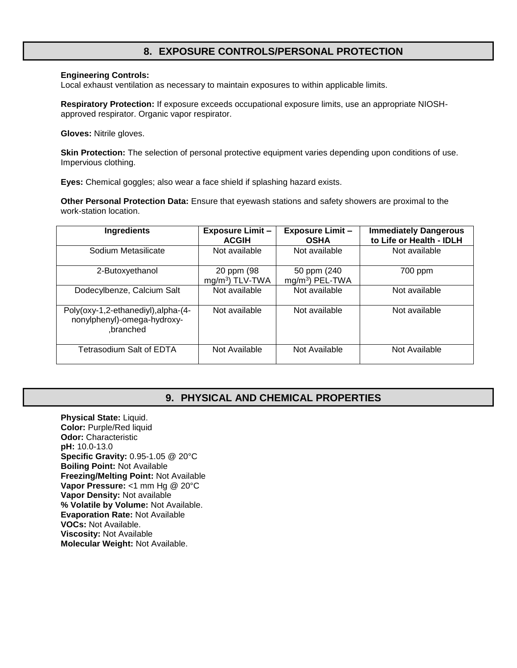### **8. EXPOSURE CONTROLS/PERSONAL PROTECTION**

#### **Engineering Controls:**

Local exhaust ventilation as necessary to maintain exposures to within applicable limits.

**Respiratory Protection:** If exposure exceeds occupational exposure limits, use an appropriate NIOSHapproved respirator. Organic vapor respirator.

**Gloves:** Nitrile gloves.

**Skin Protection:** The selection of personal protective equipment varies depending upon conditions of use. Impervious clothing.

**Eyes:** Chemical goggles; also wear a face shield if splashing hazard exists.

**Other Personal Protection Data:** Ensure that eyewash stations and safety showers are proximal to the work-station location.

| <b>Ingredients</b>                                                              | <b>Exposure Limit -</b><br><b>ACGIH</b>   | <b>Exposure Limit -</b><br><b>OSHA</b> | <b>Immediately Dangerous</b><br>to Life or Health - IDLH |
|---------------------------------------------------------------------------------|-------------------------------------------|----------------------------------------|----------------------------------------------------------|
| Sodium Metasilicate                                                             | Not available                             | Not available                          | Not available                                            |
| 2-Butoxyethanol                                                                 | 20 ppm (98<br>mg/m <sup>3</sup> ) TLV-TWA | 50 ppm (240)<br>$mg/m3$ ) PEL-TWA      | 700 ppm                                                  |
| Dodecylbenze, Calcium Salt                                                      | Not available                             | Not available                          | Not available                                            |
| Poly(oxy-1,2-ethanediyl), alpha-(4-<br>nonylphenyl)-omega-hydroxy-<br>,branched | Not available                             | Not available                          | Not available                                            |
| Tetrasodium Salt of EDTA                                                        | Not Available                             | Not Available                          | Not Available                                            |

#### **9. PHYSICAL AND CHEMICAL PROPERTIES**

**Physical State:** Liquid. **Color:** Purple/Red liquid **Odor:** Characteristic **pH:** 10.0-13.0 **Specific Gravity:** 0.95-1.05 @ 20°C **Boiling Point:** Not Available **Freezing/Melting Point:** Not Available **Vapor Pressure:** <1 mm Hg @ 20°C **Vapor Density:** Not available **% Volatile by Volume:** Not Available. **Evaporation Rate:** Not Available **VOCs:** Not Available. **Viscosity:** Not Available **Molecular Weight:** Not Available.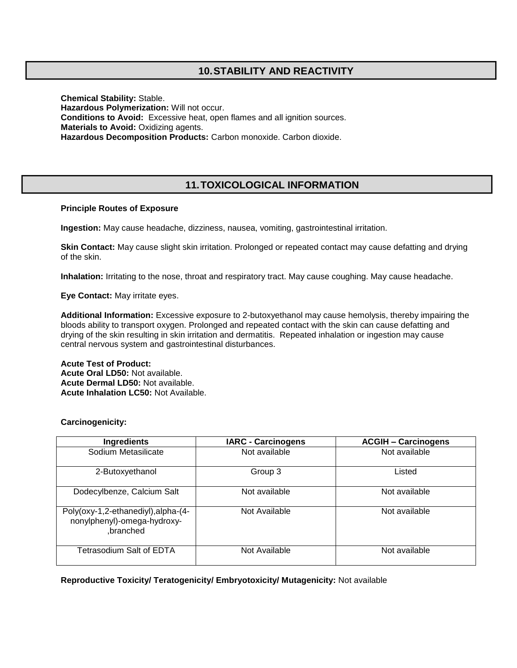## **10.STABILITY AND REACTIVITY**

**Chemical Stability:** Stable. **Hazardous Polymerization:** Will not occur. **Conditions to Avoid:** Excessive heat, open flames and all ignition sources. **Materials to Avoid:** Oxidizing agents. **Hazardous Decomposition Products:** Carbon monoxide. Carbon dioxide.

## **11.TOXICOLOGICAL INFORMATION**

#### **Principle Routes of Exposure**

**Ingestion:** May cause headache, dizziness, nausea, vomiting, gastrointestinal irritation.

**Skin Contact:** May cause slight skin irritation. Prolonged or repeated contact may cause defatting and drying of the skin.

**Inhalation:** Irritating to the nose, throat and respiratory tract. May cause coughing. May cause headache.

**Eye Contact:** May irritate eyes.

**Additional Information:** Excessive exposure to 2-butoxyethanol may cause hemolysis, thereby impairing the bloods ability to transport oxygen. Prolonged and repeated contact with the skin can cause defatting and drying of the skin resulting in skin irritation and dermatitis. Repeated inhalation or ingestion may cause central nervous system and gastrointestinal disturbances.

**Acute Test of Product: Acute Oral LD50:** Not available. **Acute Dermal LD50:** Not available. **Acute Inhalation LC50:** Not Available.

#### **Carcinogenicity:**

| Ingredients                                                                     | <b>IARC - Carcinogens</b> | <b>ACGIH - Carcinogens</b> |
|---------------------------------------------------------------------------------|---------------------------|----------------------------|
| Sodium Metasilicate                                                             | Not available             | Not available              |
| 2-Butoxyethanol                                                                 | Group 3                   | Listed                     |
| Dodecylbenze, Calcium Salt                                                      | Not available             | Not available              |
| Poly(oxy-1,2-ethanediyl), alpha-(4-<br>nonylphenyl)-omega-hydroxy-<br>.branched | Not Available             | Not available              |
| Tetrasodium Salt of EDTA                                                        | Not Available             | Not available              |

#### **Reproductive Toxicity/ Teratogenicity/ Embryotoxicity/ Mutagenicity:** Not available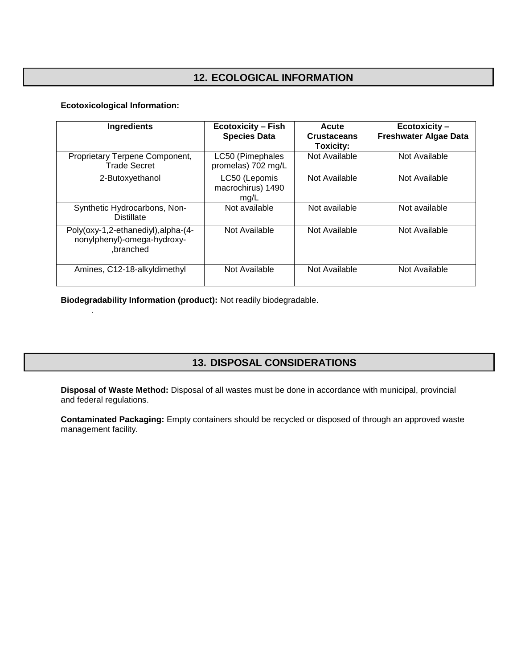# **12. ECOLOGICAL INFORMATION**

#### **Ecotoxicological Information:**

.

| <b>Ingredients</b>                                                              | <b>Ecotoxicity - Fish</b><br><b>Species Data</b> | <b>Acute</b><br><b>Crustaceans</b><br>Toxicity: | <b>Ecotoxicity-</b><br><b>Freshwater Algae Data</b> |
|---------------------------------------------------------------------------------|--------------------------------------------------|-------------------------------------------------|-----------------------------------------------------|
| Proprietary Terpene Component,<br><b>Trade Secret</b>                           | LC50 (Pimephales<br>promelas) 702 mg/L           | Not Available                                   | Not Available                                       |
| 2-Butoxyethanol                                                                 | LC50 (Lepomis<br>macrochirus) 1490<br>mg/L       | Not Available                                   | Not Available                                       |
| Synthetic Hydrocarbons, Non-<br><b>Distillate</b>                               | Not available                                    | Not available                                   | Not available                                       |
| Poly(oxy-1,2-ethanediyl), alpha-(4-<br>nonylphenyl)-omega-hydroxy-<br>.branched | Not Available                                    | Not Available                                   | Not Available                                       |
| Amines, C12-18-alkyldimethyl                                                    | Not Available                                    | Not Available                                   | Not Available                                       |

**Biodegradability Information (product):** Not readily biodegradable.

## **13. DISPOSAL CONSIDERATIONS**

**Disposal of Waste Method:** Disposal of all wastes must be done in accordance with municipal, provincial and federal regulations.

**Contaminated Packaging:** Empty containers should be recycled or disposed of through an approved waste management facility.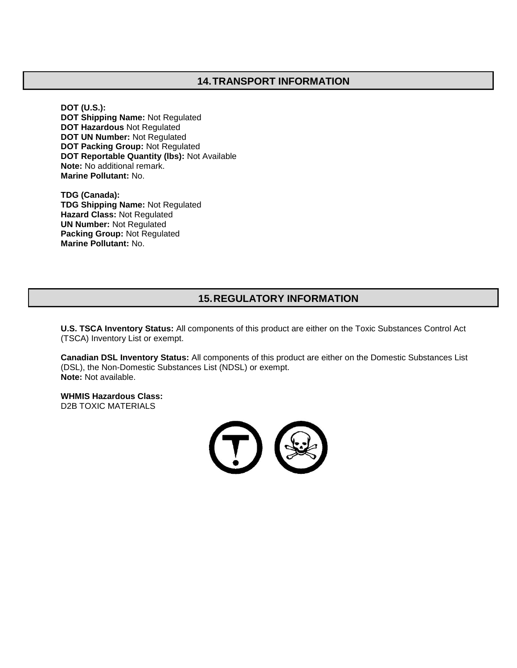### **14.TRANSPORT INFORMATION**

**DOT (U.S.): DOT Shipping Name:** Not Regulated **DOT Hazardous** Not Regulated **DOT UN Number:** Not Regulated **DOT Packing Group:** Not Regulated **DOT Reportable Quantity (lbs):** Not Available **Note:** No additional remark. **Marine Pollutant:** No.

**TDG (Canada): TDG Shipping Name:** Not Regulated **Hazard Class:** Not Regulated **UN Number:** Not Regulated **Packing Group:** Not Regulated **Marine Pollutant:** No.

### **15.REGULATORY INFORMATION**

**U.S. TSCA Inventory Status:** All components of this product are either on the Toxic Substances Control Act (TSCA) Inventory List or exempt.

**Canadian DSL Inventory Status:** All components of this product are either on the Domestic Substances List (DSL), the Non-Domestic Substances List (NDSL) or exempt. **Note:** Not available.

**WHMIS Hazardous Class:** D2B TOXIC MATERIALS